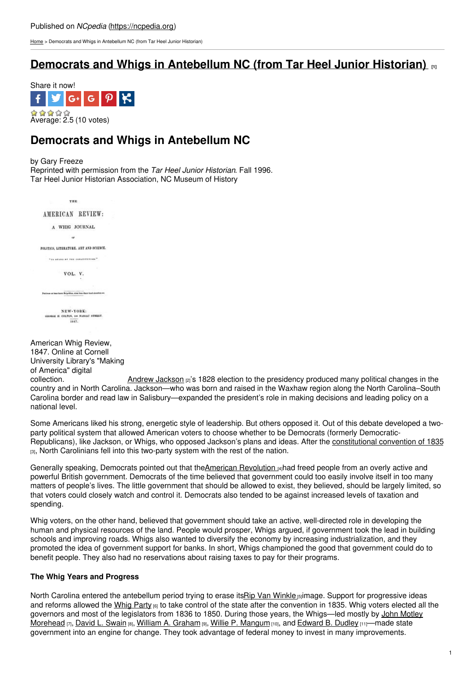[Home](https://ncpedia.org/) > Democrats and Whigs in Antebellum NC (from Tar Heel Junior Historian)

## **Democrats and Whigs in [Antebellum](https://ncpedia.org/history/1776-1860/democrats-whigs) NC (from Tar Heel Junior Historian)**



# **Democrats and Whigs in Antebellum NC**

#### by Gary Freeze

Reprinted with permission from the *Tar Heel Junior Historian*. Fall 1996. Tar Heel Junior Historian Association, NC Museum of History

THE. AMERICAN REVIEW: A WHIG JOURNAL  $\sim$ FOLITICS, LITERATURE, ART AND SCIENCE. The example real constitutions? VOL. V. .<br>And not have thrown Britan Hina, street have there hand absorbers and W-YORK:<br>ros, 118 sussau straat.<br>1847. NEW-YORK:

| American Whig Review,                                                                                              |                                                                                                                     |
|--------------------------------------------------------------------------------------------------------------------|---------------------------------------------------------------------------------------------------------------------|
| 1847. Online at Cornell                                                                                            |                                                                                                                     |
| University Library's "Making                                                                                       |                                                                                                                     |
| of America" digital                                                                                                |                                                                                                                     |
| collection.                                                                                                        | Andrew Jackson $\left z\right $ 's 1828 election to the presidency produced many political changes in the           |
| country and in North Carolina. Jackson—who was born and raised in the Waxhaw region along the North Carolina–South |                                                                                                                     |
|                                                                                                                    | Carolina border and read law in Salisbury—expanded the president's role in making decisions and leading policy on a |
| national level.                                                                                                    |                                                                                                                     |

Some Americans liked his strong, energetic style of leadership. But others opposed it. Out of this debate developed a twoparty political system that allowed American voters to choose whether to be Democrats (formerly Democratic-Republicans), like Jackson, or Whigs, who opposed Jackson's plans and ideas. After the [constitutional](https://ncpedia.org/government/convention-1835) convention of 1835 [3], North Carolinians fell into this two-party system with the rest of the nation.

Generally speaking, Democrats pointed out that theAmerican [Revolution](https://ncpedia.org/history/usrevolution) [4]had freed people from an overly active and powerful British government. Democrats of the time believed that government could too easily involve itself in too many matters of people's lives. The little government that should be allowed to exist, they believed, should be largely limited, so that voters could closely watch and control it. Democrats also tended to be against increased levels of taxation and spending.

Whig voters, on the other hand, believed that government should take an active, well-directed role in developing the human and physical resources of the land. People would prosper, Whigs argued, if government took the lead in building schools and improving roads. Whigs also wanted to diversify the economy by increasing industrialization, and they promoted the idea of government support for banks. In short, Whigs championed the good that government could do to benefit people. They also had no reservations about raising taxes to pay for their programs.

#### **The Whig Years and Progress**

North Carolina entered the antebellum period trying to erase itsRip Van [Winkle](http://www.bartleby.com/195/4.html) [5] image. Support for progressive ideas and reforms allowed the [Whig](https://ncpedia.org/whig-party) Party [6] to take control of the state after the convention in 1835. Whig voters elected all the governors and most of the legislators from 1836 to 1850. During those years, the [Whigs—led](https://ncpedia.org/biography/governors/morehead-john) mostly by John Motley Morehead [7], David L. [Swain](https://ncpedia.org/biography/governors/swain) [8], William A. [Graham](https://ncpedia.org/biography/governors/graham) [9], Willie P. [Mangum](https://ncpedia.org/biography/mangum-willie-person) [10], and [Edward](https://ncpedia.org/biography/governors/dudley) B. Dudley [11]—made state government into an engine for change. They took advantage of federal money to invest in many improvements.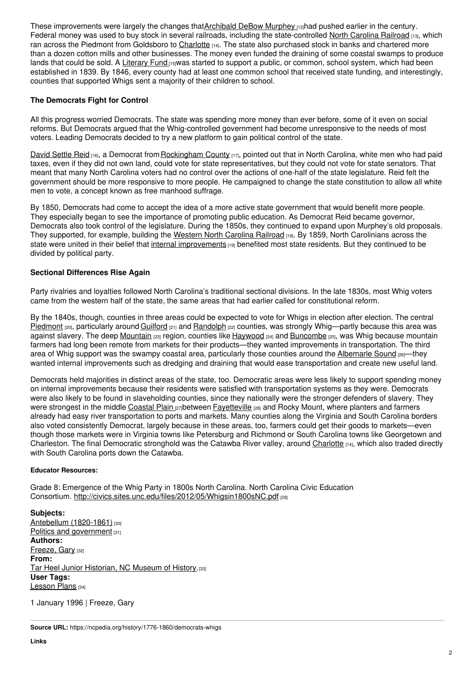These improvements were largely the changes that[Archibald](https://ncpedia.org/biography/murphey-archibald) DeBow Murphey nachal pushed earlier in the century. Federal money was used to buy stock in several railroads, including the state-controlled North [Carolina](https://docsouth.unc.edu/highlights/railroad.html) Railroad [13], which ran across the Piedmont from Goldsboro to [Charlotte](https://ncpedia.org/geography/charlotte) [14]. The state also purchased stock in banks and chartered more than a dozen cotton mills and other businesses. The money even funded the draining of some coastal swamps to produce lands that could be sold. A [Literary](http://www.ncpublicschools.org/stateboard/about/history/chapters/one) Fund  $15J$ was started to support a public, or common, school system, which had been established in 1839. By 1846, every county had at least one common school that received state funding, and interestingly, counties that supported Whigs sent a majority of their children to school.

### **The Democrats Fight for Control**

All this progress worried Democrats. The state was spending more money than ever before, some of it even on social reforms. But Democrats argued that the Whig-controlled government had become unresponsive to the needs of most voters. Leading Democrats decided to try a new platform to gain political control of the state.

David [Settle](https://ncpedia.org/biography/governors/reid) Reid [16], a Democrat from [Rockingham](https://ncpedia.org/geography/rockingham) County [17], pointed out that in North Carolina, white men who had paid taxes, even if they did not own land, could vote for state representatives, but they could not vote for state senators. That meant that many North Carolina voters had no control over the actions of one-half of the state legislature. Reid felt the government should be more responsive to more people. He campaigned to change the state constitution to allow all white men to vote, a concept known as free manhood suffrage.

By 1850, Democrats had come to accept the idea of a more active state government that would benefit more people. They especially began to see the importance of promoting public education. As Democrat Reid became governor, Democrats also took control of the legislature. During the 1850s, they continued to expand upon Murphey's old proposals. They supported, for example, building the Western North [Carolina](http://www.historync.org/railroad-WNCRR.htm) Railroad [18]. By 1859, North Carolinians across the state were united in their belief that internal [improvements](https://ncpedia.org/internal-improvements-0) [19] benefited most state residents. But they continued to be divided by political party.

### **Sectional Differences Rise Again**

Party rivalries and loyalties followed North Carolina's traditional sectional divisions. In the late 1830s, most Whig voters came from the western half of the state, the same areas that had earlier called for constitutional reform.

By the 1840s, though, counties in three areas could be expected to vote for Whigs in election after election. The central [Piedmont](https://ncpedia.org/geography/region/piedmont) [20], particularly around [Guilford](https://ncpedia.org/geography/guilford) [21] and [Randolph](https://ncpedia.org/geography/randolph) [22] counties, was strongly Whig—partly because this area was against slavery. The deep [Mountain](https://ncpedia.org/geography/region/mountains) [23] region, counties like [Haywood](https://ncpedia.org/geography/haywood) [24] and [Buncombe](https://ncpedia.org/geography/buncombe) [25], was Whig because mountain farmers had long been remote from markets for their products—they wanted improvements in transportation. The third area of Whig support was the swampy coastal area, particularly those counties around the [Albemarle](https://ncpedia.org/history/colonial/albemarle) Sound [26]—they wanted internal improvements such as dredging and draining that would ease transportation and create new useful land.

Democrats held majorities in distinct areas of the state, too. Democratic areas were less likely to support spending money on internal improvements because their residents were satisfied with transportation systems as they were. Democrats were also likely to be found in slaveholding counties, since they nationally were the stronger defenders of slavery. They were strongest in the middle [Coastal](https://ncpedia.org/geography/region/coastal-plain) Plain  $_{[27]}$ between [Fayetteville](https://ncpedia.org/geography/fayetteville)  $_{[28]}$  and Rocky Mount, where planters and farmers already had easy river transportation to ports and markets. Many counties along the Virginia and South Carolina borders also voted consistently Democrat, largely because in these areas, too, farmers could get their goods to markets—even though those markets were in Virginia towns like Petersburg and Richmond or South Carolina towns like Georgetown and Charleston. The final Democratic stronghold was the Catawba River valley, around [Charlotte](https://ncpedia.org/geography/charlotte) [14], which also traded directly with South Carolina ports down the Catawba.

#### **Educator Resources:**

Grade 8: Emergence of the Whig Party in 1800s North Carolina. North Carolina Civic Education Consortium. <http://civics.sites.unc.edu/files/2012/05/Whigsin1800sNC.pdf> [29]

**Subjects:** Antebellum [\(1820-1861\)](https://ncpedia.org/category/subjects/antebellum-1820-1) [30] Politics and [government](https://ncpedia.org/category/subjects/politics-and-gove)  $1311$ **Authors:** [Freeze,](https://ncpedia.org/category/authors/freeze-gary) Gary [32] **From:** Tar Heel Junior [Historian,](https://ncpedia.org/category/entry-source/tar-heel-juni) NC Museum of History.[33] **User Tags:** [Lesson](https://ncpedia.org/category/user-tags/lesson-plans) Plans [34]

1 January 1996 | Freeze, Gary

**Source URL:** https://ncpedia.org/history/1776-1860/democrats-whigs